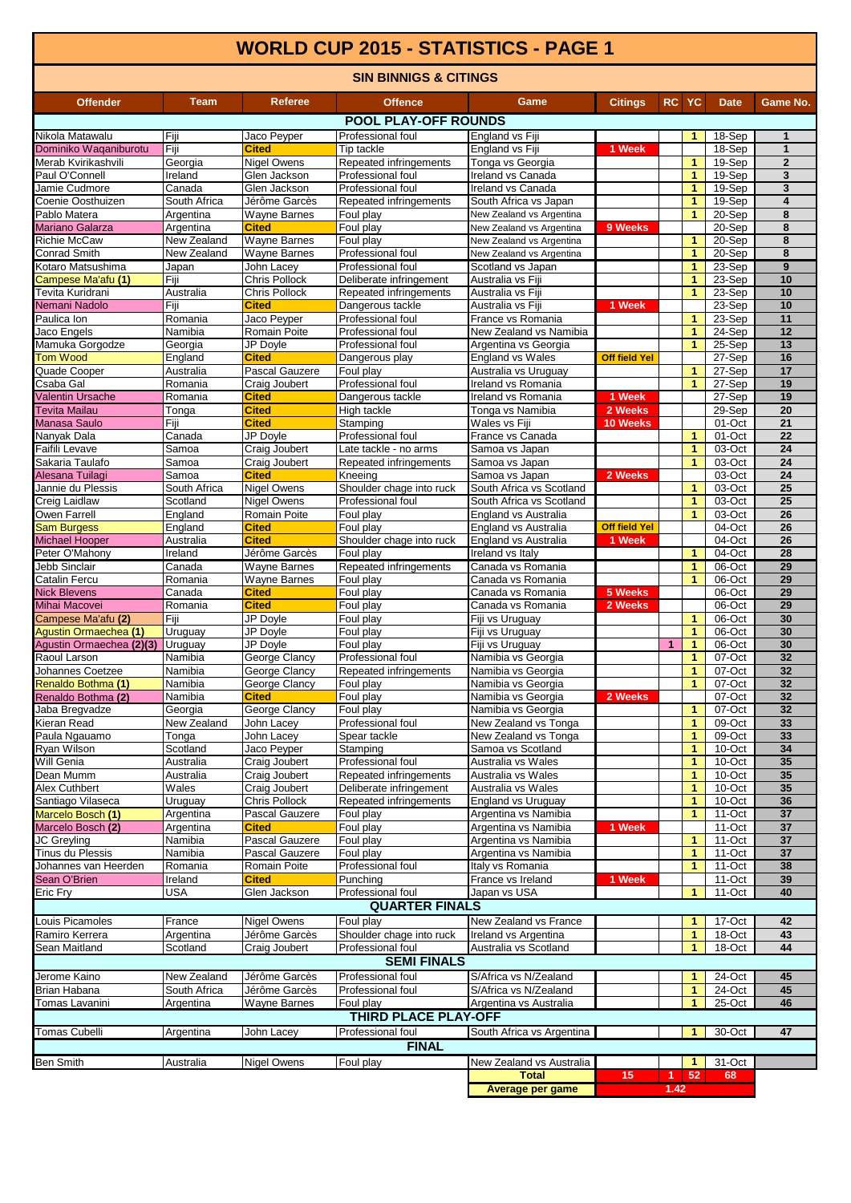## **WORLD CUP 2015 - STATISTICS - PAGE 1**

| <b>SIN BINNIGS &amp; CITINGS</b>                                                                                |                           |                                      |                                            |                                                   |                                |           |              |                    |                              |  |
|-----------------------------------------------------------------------------------------------------------------|---------------------------|--------------------------------------|--------------------------------------------|---------------------------------------------------|--------------------------------|-----------|--------------|--------------------|------------------------------|--|
| <b>Offender</b>                                                                                                 | Team                      | <b>Referee</b>                       | <b>Offence</b>                             | Game                                              | <b>Citings</b>                 | <b>RC</b> | <b>YC</b>    | <b>Date</b>        | Game No.                     |  |
|                                                                                                                 |                           |                                      | <b>POOL PLAY-OFF ROUNDS</b>                |                                                   |                                |           |              |                    |                              |  |
| Nikola Matawalu                                                                                                 | Fiji                      | Jaco Peyper                          | Professional foul                          | England vs Fiji                                   |                                |           | 1.           | 18-Sep             | 1                            |  |
| Dominiko Waqaniburotu                                                                                           | Fiji                      | <b>Cited</b>                         | Tip tackle                                 | England vs Fiji                                   | 1 Week                         |           |              | 18-Sep             | $\mathbf{1}$                 |  |
| Merab Kvirikashvili                                                                                             | Georgia                   | <b>Nigel Owens</b>                   | Repeated infringements                     | Tonga vs Georgia                                  |                                |           | 1            | 19-Sep             | $\mathbf{2}$                 |  |
| Paul O'Connell                                                                                                  | Ireland                   | Glen Jackson                         | Professional foul                          | Ireland vs Canada                                 |                                |           | $\mathbf{1}$ | 19-Sep             | 3                            |  |
| Jamie Cudmore                                                                                                   | Canada                    | Glen Jackson                         | Professional foul                          | Ireland vs Canada                                 |                                |           | 1            | 19-Sep             | 3<br>$\overline{\mathbf{4}}$ |  |
| Coenie Oosthuizen<br>Pablo Matera                                                                               | South Africa<br>Argentina | Jérôme Garcès<br>Wayne Barnes        | Repeated infringements<br>Foul play        | South Africa vs Japan<br>New Zealand vs Argentina |                                |           | 1<br>1       | 19-Sep<br>20-Sep   | 8                            |  |
| <b>Mariano Galarza</b>                                                                                          | Argentina                 | <b>Cited</b>                         | Foul play                                  | New Zealand vs Argentina                          | 9 Weeks                        |           |              | 20-Sep             | 8                            |  |
| <b>Richie McCaw</b>                                                                                             | New Zealand               | Wayne Barnes                         | Foul play                                  | New Zealand vs Argentina                          |                                |           | 1            | 20-Sep             | 8                            |  |
| <b>Conrad Smith</b>                                                                                             | New Zealand               | Wayne Barnes                         | Professional foul                          | New Zealand vs Argentina                          |                                |           | 1            | 20-Sep             | 8                            |  |
| Kotaro Matsushima                                                                                               | Japan                     | John Lacey                           | Professional foul                          | Scotland vs Japan                                 |                                |           | 1            | 23-Sep             | $\boldsymbol{9}$             |  |
| Campese Ma'afu (1)                                                                                              | Fiji                      | <b>Chris Pollock</b>                 | Deliberate infringement                    | Australia vs Fiji                                 |                                |           | 1            | 23-Sep             | 10                           |  |
| Tevita Kuridrani<br>Nemani Nadolo                                                                               | Australia<br>Fiji         | <b>Chris Pollock</b><br><b>Cited</b> | Repeated infringements<br>Dangerous tackle | Australia vs Fiji<br>Australia vs Fiji            | 1 Week                         |           | 1            | 23-Sep<br>23-Sep   | 10<br>10                     |  |
| Paulica Ion                                                                                                     | Romania                   | Jaco Peyper                          | Professional foul                          | France vs Romania                                 |                                |           | 1            | 23-Sep             | 11                           |  |
| Jaco Engels                                                                                                     | Namibia                   | <b>Romain Poite</b>                  | Professional foul                          | New Zealand vs Namibia                            |                                |           | 1            | 24-Sep             | 12                           |  |
| Mamuka Gorgodze                                                                                                 | Georgia                   | JP Doyle                             | Professional foul                          | Argentina vs Georgia                              |                                |           | 1            | 25-Sep             | 13                           |  |
| <b>Tom Wood</b>                                                                                                 | England                   | <b>Cited</b>                         | Dangerous play                             | <b>England vs Wales</b>                           | <b>Off field Yel</b>           |           |              | 27-Sep             | 16                           |  |
| Quade Cooper                                                                                                    | Australia                 | Pascal Gauzere                       | Foul play                                  | Australia vs Uruguay                              |                                |           | 1            | 27-Sep             | 17                           |  |
| Csaba Gal                                                                                                       | Romania                   | Craig Joubert                        | Professional foul                          | Ireland vs Romania                                |                                |           | 1            | 27-Sep             | 19                           |  |
| <b>Valentin Ursache</b><br>Tevita Mailau                                                                        | Romania                   | <b>Cited</b>                         | Dangerous tackle                           | Ireland vs Romania                                | 1 Week                         |           |              | $27-Sep$           | 19                           |  |
| Manasa Saulo                                                                                                    | Tonga<br>Fiji             | <b>Cited</b><br><b>Cited</b>         | High tackle<br>Stamping                    | Tonga vs Namibia<br>Wales vs Fiji                 | 2 Weeks<br>10 Weeks            |           |              | 29-Sep<br>01-Oct   | 20<br>21                     |  |
| Nanyak Dala                                                                                                     | Canada                    | JP Doyle                             | Professional foul                          | France vs Canada                                  |                                |           | 1            | 01-Oct             | 22                           |  |
| Faifili Levave                                                                                                  | Samoa                     | Craig Joubert                        | Late tackle - no arms                      | Samoa vs Japan                                    |                                |           | $\mathbf{1}$ | 03-Oct             | 24                           |  |
| Sakaria Taulafo                                                                                                 | Samoa                     | Craig Joubert                        | Repeated infringements                     | Samoa vs Japan                                    |                                |           | 1            | 03-Oct             | 24                           |  |
| Alesana Tuilagi                                                                                                 | Samoa                     | <b>Cited</b>                         | Kneeing                                    | Samoa vs Japan                                    | 2 Weeks                        |           |              | 03-Oct             | $\overline{24}$              |  |
| Jannie du Plessis                                                                                               | South Africa              | Nigel Owens                          | Shoulder chage into ruck                   | South Africa vs Scotland                          |                                |           | 1            | 03-Oct             | 25                           |  |
| Creig Laidlaw                                                                                                   | Scotland                  | Nigel Owens                          | Professional foul                          | South Africa vs Scotland                          |                                |           | 1            | 03-Oct             | 25                           |  |
| Owen Farrell                                                                                                    | England                   | Romain Poite                         | Foul play                                  | England vs Australia                              |                                |           | 1            | 03-Oct             | 26                           |  |
| <b>Sam Burgess</b>                                                                                              | England                   | <b>Cited</b><br><b>Cited</b>         | Foul play                                  | England vs Australia                              | <b>Off field Yel</b><br>1 Week |           |              | 04-Oct<br>04-Oct   | 26<br>26                     |  |
| <b>Michael Hooper</b><br>Peter O'Mahony                                                                         | Australia<br>Ireland      | Jérôme Garcès                        | Shoulder chage into ruck<br>Foul play      | England vs Australia<br>Ireland vs Italy          |                                |           | 1            | 04-Oct             | 28                           |  |
| Jebb Sinclair                                                                                                   | Canada                    | Wayne Barnes                         | Repeated infringements                     | Canada vs Romania                                 |                                |           | 1            | 06-Oct             | 29                           |  |
| Catalin Fercu                                                                                                   | Romania                   | Wayne Barnes                         | Foul play                                  | Canada vs Romania                                 |                                |           | 1            | 06-Oct             | 29                           |  |
| <b>Nick Blevens</b>                                                                                             | Canada                    | <b>Cited</b>                         | Foul play                                  | Canada vs Romania                                 | 5 Weeks                        |           |              | 06-Oct             | 29                           |  |
| Mihai Macovei                                                                                                   | Romania                   | <b>Cited</b>                         | Foul play                                  | Canada vs Romania                                 | 2 Weeks                        |           |              | 06-Oct             | 29                           |  |
| Campese Ma'afu (2)                                                                                              | Fiji                      | JP Doyle                             | Foul play                                  | Fiji vs Uruguay                                   |                                |           | 1            | 06-Oct             | 30                           |  |
| <b>Agustin Ormaechea (1)</b>                                                                                    | Uruguay                   | JP Doyle                             | Foul play                                  | Fiji vs Uruguay                                   |                                |           | 1            | 06-Oct             | 30                           |  |
| Agustin Ormaechea (2)(3)<br>Raoul Larson                                                                        | Uruguay<br>Namibia        | JP Doyle<br>George Clancy            | Foul play<br>Professional foul             | Fiji vs Uruguay<br>Namibia vs Georgia             |                                | 1         | 1<br>1       | 06-Oct<br>07-Oct   | 30<br>32                     |  |
| Johannes Coetzee                                                                                                | Namibia                   | George Clancy                        | Repeated infringements                     | Namibia vs Georgia                                |                                |           | 1            | 07-Oct             | 32                           |  |
| Renaldo Bothma (1)                                                                                              | Namibia                   | George Clancy                        | Foul play                                  | Namibia vs Georgia                                |                                |           | 1            | 07-Oct             | 32                           |  |
| Renaldo Bothma (2)                                                                                              | Namibia                   | Cited                                | Foul play                                  | Namibia vs Georgia                                | 2 Weeks                        |           |              | 07-Oct             | 32                           |  |
| Jaba Bregvadze                                                                                                  | Georgia                   | George Clancy                        | Foul play                                  | Namibia vs Georgia                                |                                |           | $\mathbf{1}$ | 07-Oct             | 32                           |  |
| Kieran Read                                                                                                     | New Zealand               | John Lacey                           | Professional foul                          | New Zealand vs Tonga                              |                                |           | $\mathbf{1}$ | 09-Oct             | 33                           |  |
| Paula Ngauamo<br>Ryan Wilson                                                                                    | Tonga                     | John Lacey                           | Spear tackle                               | New Zealand vs Tonga                              |                                |           | $\mathbf{1}$ | 09-Oct             | 33                           |  |
|                                                                                                                 | Scotland<br>Australia     | Jaco Peyper                          | Stamping<br>Professional foul              | Samoa vs Scotland                                 |                                |           | 1<br>1       | 10-Oct             | 34<br>35                     |  |
| Will Genia<br>Dean Mumm                                                                                         | Australia                 | Craig Joubert<br>Craig Joubert       | Repeated infringements                     | Australia vs Wales<br>Australia vs Wales          |                                |           | 1            | 10-Oct<br>10-Oct   | 35                           |  |
| Alex Cuthbert                                                                                                   | Wales                     | Craig Joubert                        | Deliberate infringement                    | Australia vs Wales                                |                                |           | 1            | 10-Oct             | 35                           |  |
| Santiago Vilaseca                                                                                               | Uruguay                   | <b>Chris Pollock</b>                 | Repeated infringements                     | England vs Uruguay                                |                                |           | 1            | 10-Oct             | 36                           |  |
| Marcelo Bosch (1)                                                                                               | Argentina                 | Pascal Gauzere                       | Foul play                                  | Argentina vs Namibia                              |                                |           | 1            | $11-Oct$           | 37                           |  |
| Marcelo Bosch (2)                                                                                               | Argentina                 | Cited                                | Foul play                                  | Argentina vs Namibia                              | 1 Week                         |           |              | $11-Oct$           | 37                           |  |
| <b>JC Greyling</b><br>Tinus du Plessis                                                                          | Namibia                   | Pascal Gauzere                       | Foul play                                  | Argentina vs Namibia                              |                                |           | 1            | $11-Oct$           | 37<br>37                     |  |
| Johannes van Heerden                                                                                            | Namibia<br>Romania        | Pascal Gauzere<br>Romain Poite       | Foul play<br>Professional foul             | Argentina vs Namibia<br>Italy vs Romania          |                                |           | 1<br>1       | $11-Oct$<br>11-Oct | 38                           |  |
| Sean O'Brien                                                                                                    | Ireland                   | Cited                                | Punching                                   | France vs Ireland                                 | 1 Week                         |           |              | 11-Oct             | 39                           |  |
| Eric Fry                                                                                                        | USA                       | Glen Jackson                         | Professional foul                          | Japan vs USA                                      |                                |           | 1            | 11-Oct             | 40                           |  |
|                                                                                                                 |                           |                                      | <b>QUARTER FINALS</b>                      |                                                   |                                |           |              |                    |                              |  |
| Louis Picamoles                                                                                                 | France                    | <b>Nigel Owens</b>                   | Foul play                                  | New Zealand vs France                             |                                |           | 1            | $17 - Oct$         | 42                           |  |
| Ramiro Kerrera                                                                                                  | Argentina                 | Jérôme Garcès                        | Shoulder chage into ruck                   | Ireland vs Argentina                              |                                |           | 1            | 18-Oct             | 43                           |  |
| Sean Maitland                                                                                                   | Scotland                  | Craig Joubert                        | Professional foul                          | Australia vs Scotland                             |                                |           | 1            | 18-Oct             | 44                           |  |
|                                                                                                                 |                           |                                      | <b>SEMI FINALS</b>                         |                                                   |                                |           |              |                    |                              |  |
| Jerome Kaino                                                                                                    | New Zealand               | Jérôme Garcès                        | Professional foul                          | S/Africa vs N/Zealand                             |                                |           | 1            | 24-Oct             | 45                           |  |
| Brian Habana                                                                                                    | South Africa              | Jérôme Garcès                        | Professional foul                          | S/Africa vs N/Zealand                             |                                |           | 1            | 24-Oct             | 45                           |  |
| Tomas Lavanini                                                                                                  | Argentina                 | Wayne Barnes                         | Foul play                                  | Argentina vs Australia                            |                                |           | 1            | 25-Oct             | 46                           |  |
| <b>THIRD PLACE PLAY-OFF</b>                                                                                     |                           |                                      |                                            |                                                   |                                |           |              |                    |                              |  |
| John Lacey<br>47<br>Tomas Cubelli<br>Argentina<br>South Africa vs Argentina<br>30-Oct<br>Professional foul<br>1 |                           |                                      |                                            |                                                   |                                |           |              |                    |                              |  |
|                                                                                                                 |                           |                                      | <b>FINAL</b>                               |                                                   |                                |           |              |                    |                              |  |
| <b>Ben Smith</b>                                                                                                | Australia                 | Nigel Owens                          | Foul play                                  | New Zealand vs Australia                          |                                |           | 1.           | 31-Oct             |                              |  |
|                                                                                                                 |                           |                                      |                                            | <b>Total</b>                                      | 15                             |           | $1 \quad 52$ | 68                 |                              |  |
|                                                                                                                 |                           |                                      |                                            | Average per game                                  |                                | 1.42      |              |                    |                              |  |